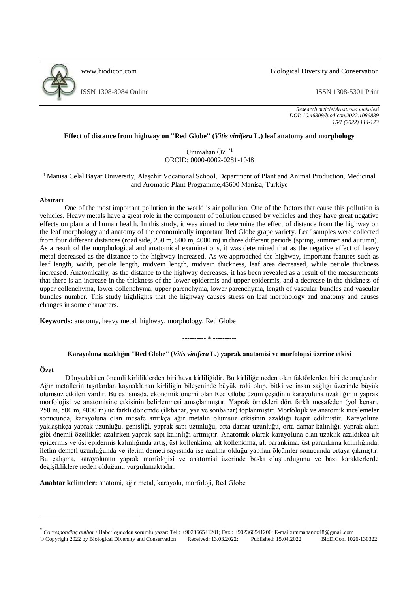

[www.biodicon.com](http://www.biodicon.com/) Biological Diversity and Conservation

ISSN 1308-8084 Online ISSN 1308-5301 Print

*Research article/Araştırma makalesi DOI: 10.46309/biodicon.2022.1086839 15/1 (2022) 114-123*

## **Effect of distance from highway on ''Red Globe'' (***Vitis vinifera* **L.) leaf anatomy and morphology**

Ummahan ÖZ \*1 ORCID: 0000-0002-0281-1048

## <sup>1</sup> Manisa Celal Bayar University, Alaşehir Vocational School, Department of Plant and Animal Production, Medicinal and Aromatic Plant Programme,45600 Manisa, Turkiye

#### **Abstract**

One of the most important pollution in the world is air pollution. One of the factors that cause this pollution is vehicles. Heavy metals have a great role in the component of pollution caused by vehicles and they have great negative effects on plant and human health. In this study, it was aimed to determine the effect of distance from the highway on the leaf morphology and anatomy of the economically important Red Globe grape variety. Leaf samples were collected from four different distances (road side, 250 m, 500 m, 4000 m) in three different periods (spring, summer and autumn). As a result of the morphological and anatomical examinations, it was determined that as the negative effect of heavy metal decreased as the distance to the highway increased. As we approached the highway, important features such as leaf length, width, petiole length, midvein length, midvein thickness, leaf area decreased, while petiole thickness increased. Anatomically, as the distance to the highway decreases, it has been revealed as a result of the measurements that there is an increase in the thickness of the lower epidermis and upper epidermis, and a decrease in the thickness of upper collenchyma, lower collenchyma, upper parenchyma, lower parenchyma, length of vascular bundles and vascular bundles number. This study highlights that the highway causes stress on leaf morphology and anatomy and causes changes in some characters.

**Keywords:** anatomy, heavy metal, highway, morphology, Red Globe

#### **---------- ----------**

# **Karayoluna uzaklığın ''Red Globe'' (***Vitis vinifera* **L.) yaprak anatomisi ve morfolojisi üzerine etkisi**

# **Özet**

.

Dünyadaki en önemli kirliliklerden biri hava kirliliğidir. Bu kirliliğe neden olan faktörlerden biri de araçlardır. Ağır metallerin taşıtlardan kaynaklanan kirliliğin bileşeninde büyük rolü olup, bitki ve insan sağlığı üzerinde büyük olumsuz etkileri vardır. Bu çalışmada, ekonomik önemi olan Red Globe üzüm çeşidinin karayoluna uzaklığının yaprak morfolojisi ve anatomisine etkisinin belirlenmesi amaçlanmıştır. Yaprak örnekleri dört farklı mesafeden (yol kenarı, 250 m, 500 m, 4000 m) üç farklı dönemde (ilkbahar, yaz ve sonbahar) toplanmıştır. Morfolojik ve anatomik incelemeler sonucunda, karayoluna olan mesafe arttıkça ağır metalin olumsuz etkisinin azaldığı tespit edilmiştir. Karayoluna yaklaştıkça yaprak uzunluğu, genişliği, yaprak sapı uzunluğu, orta damar uzunluğu, orta damar kalınlığı, yaprak alanı gibi önemli özellikler azalırken yaprak sapı kalınlığı artmıştır. Anatomik olarak karayoluna olan uzaklık azaldıkça alt epidermis ve üst epidermis kalınlığında artış, üst kollenkima, alt kollenkima, alt parankima, üst parankima kalınlığında, iletim demeti uzunluğunda ve iletim demeti sayısında ise azalma olduğu yapılan ölçümler sonucunda ortaya çıkmıştır. Bu çalışma, karayolunun yaprak morfolojisi ve anatomisi üzerinde baskı oluşturduğunu ve bazı karakterlerde değişikliklere neden olduğunu vurgulamaktadır.

**Anahtar kelimeler:** anatomi, ağır metal, karayolu, morfoloji, Red Globe

<sup>\*</sup> *Corresponding author* / Haberleşmeden sorumlu yazar: Tel.: +902366541201; Fax.: +902366541200; E-mail:ummahanoz48@gmail.com © Copyright 2022 by Biological Diversity and Conservation Received: 13.03.2022; Published: 15.04.2022 BioDiCon. 1026-130322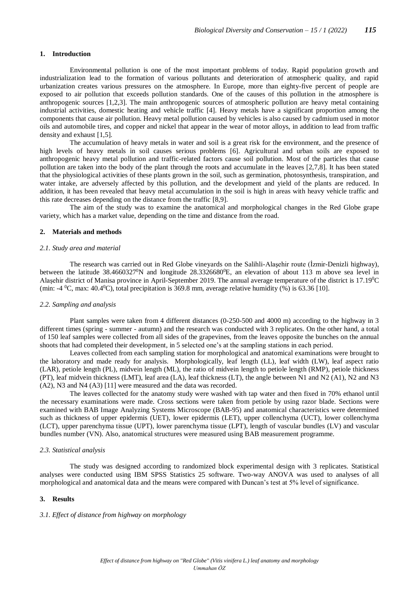## **1. Introduction**

Environmental pollution is one of the most important problems of today. Rapid population growth and industrialization lead to the formation of various pollutants and deterioration of atmospheric quality, and rapid urbanization creates various pressures on the atmosphere. In Europe, more than eighty-five percent of people are exposed to air pollution that exceeds pollution standards. One of the causes of this pollution in the atmosphere is anthropogenic sources [1,2,3]. The main anthropogenic sources of atmospheric pollution are heavy metal containing industrial activities, domestic heating and vehicle traffic [4]. Heavy metals have a significant proportion among the components that cause air pollution. Heavy metal pollution caused by vehicles is also caused by cadmium used in motor oils and automobile tires, and copper and nickel that appear in the wear of motor alloys, in addition to lead from traffic density and exhaust [1,5].

The accumulation of heavy metals in water and soil is a great risk for the environment, and the presence of high levels of heavy metals in soil causes serious problems [6]. Agricultural and urban soils are exposed to anthropogenic heavy metal pollution and traffic-related factors cause soil pollution. Most of the particles that cause pollution are taken into the body of the plant through the roots and accumulate in the leaves [2,7,8]. It has been stated that the physiological activities of these plants grown in the soil, such as germination, photosynthesis, transpiration, and water intake, are adversely affected by this pollution, and the development and yield of the plants are reduced. In addition, it has been revealed that heavy metal accumulation in the soil is high in areas with heavy vehicle traffic and this rate decreases depending on the distance from the traffic [8,9].

The aim of the study was to examine the anatomical and morphological changes in the Red Globe grape variety, which has a market value, depending on the time and distance from the road.

#### **2. Materials and methods**

#### *2.1. Study area and material*

The research was carried out in Red Globe vineyards on the Salihli-Alaşehir route (İzmir-Denizli highway), between the latitude  $38.4660327^{\circ}N$  and longitude  $28.3326680^{\circ}E$ , an elevation of about 113 m above sea level in Alaşehir district of Manisa province in April-September 2019. The annual average temperature of the district is 17.19<sup>0</sup>C (min:  $-4$  <sup>0</sup>C, max: 40.4<sup>0</sup>C), total precipitation is 369.8 mm, average relative humidity (%) is 63.36 [10].

## *2.2. Sampling and analysis*

Plant samples were taken from 4 different distances (0-250-500 and 4000 m) according to the highway in 3 different times (spring - summer - autumn) and the research was conducted with 3 replicates. On the other hand, a total of 150 leaf samples were collected from all sides of the grapevines, from the leaves opposite the bunches on the annual shoots that had completed their development, in 5 selected one's at the sampling stations in each period.

Leaves collected from each sampling station for morphological and anatomical examinations were brought to the laboratory and made ready for analysis. Morphologically, leaf length (LL), leaf width (LW), leaf aspect ratio (LAR), petiole length (PL), midvein length (ML), the ratio of midvein length to petiole length (RMP), petiole thickness (PT), leaf midvein thickness (LMT), leaf area (LA), leaf thickness (LT), the angle between N1 and N2 (A1), N2 and N3 (A2), N3 and N4 (A3) [11] were measured and the data was recorded.

The leaves collected for the anatomy study were washed with tap water and then fixed in 70% ethanol until the necessary examinations were made. Cross sections were taken from petiole by using razor blade. Sections were examined with BAB Image Analyzing Systems Microscope (BAB-95) and anatomical characteristics were determined such as thickness of upper epidermis (UET), lower epidermis (LET), upper collenchyma (UCT), lower collenchyma (LCT), upper parenchyma tissue (UPT), lower parenchyma tissue (LPT), length of vascular bundles (LV) and vascular bundles number (VN). Also, anatomical structures were measured using BAB measurement programme.

### *2.3. Statistical analysis*

The study was designed according to randomized block experimental design with 3 replicates. Statistical analyses were conducted using IBM SPSS Statistics 25 software. Two-way ANOVA was used to analyses of all morphological and anatomical data and the means were compared with Duncan's test at 5% level of significance.

#### **3. Results**

#### *3.1. Effect of distance from highway on morphology*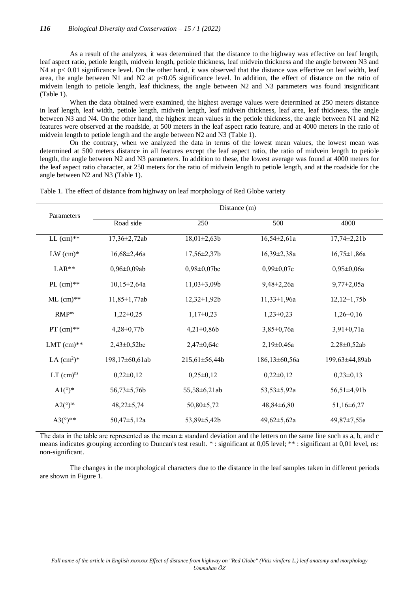As a result of the analyzes, it was determined that the distance to the highway was effective on leaf length, leaf aspect ratio, petiole length, midvein length, petiole thickness, leaf midvein thickness and the angle between N3 and N4 at p< 0.01 significance level. On the other hand, it was observed that the distance was effective on leaf width, leaf area, the angle between N1 and N2 at  $p<0.05$  significance level. In addition, the effect of distance on the ratio of midvein length to petiole length, leaf thickness, the angle between N2 and N3 parameters was found insignificant (Table 1).

When the data obtained were examined, the highest average values were determined at 250 meters distance in leaf length, leaf width, petiole length, midvein length, leaf midvein thickness, leaf area, leaf thickness, the angle between N3 and N4. On the other hand, the highest mean values in the petiole thickness, the angle between N1 and N2 features were observed at the roadside, at 500 meters in the leaf aspect ratio feature, and at 4000 meters in the ratio of midvein length to petiole length and the angle between N2 and N3 (Table 1).

On the contrary, when we analyzed the data in terms of the lowest mean values, the lowest mean was determined at 500 meters distance in all features except the leaf aspect ratio, the ratio of midvein length to petiole length, the angle between N2 and N3 parameters. In addition to these, the lowest average was found at 4000 meters for the leaf aspect ratio character, at 250 meters for the ratio of midvein length to petiole length, and at the roadside for the angle between N2 and N3 (Table 1).

| Parameters              | Distance (m)       |                    |                   |                   |
|-------------------------|--------------------|--------------------|-------------------|-------------------|
|                         | Road side          | 250                | 500               | 4000              |
| LL $(cm)^{**}$          | 17,36±2,72ab       | $18,01\pm2,63b$    | $16,54\pm2,61a$   | $17,74\pm2,21b$   |
| $LW$ (cm) $*$           | $16,68 \pm 2,46a$  | $17,56 \pm 2,37b$  | $16,39\pm2,38a$   | $16,75 \pm 1,86a$ |
| $LAR**$                 | $0,96 \pm 0,09$ ab | $0,98 \pm 0,07$ bc | $0,99 \pm 0,07c$  | $0,95 \pm 0,06a$  |
| PL $(cm)**$             | $10,15\pm2,64a$    | $11,03\pm3,09b$    | $9,48 \pm 2,26a$  | $9,77 \pm 2,05a$  |
| $ML$ (cm) $**$          | $11,85 \pm 1,77ab$ | $12,32 \pm 1,92b$  | $11,33 \pm 1,96a$ | $12,12 \pm 1,75b$ |
| <b>RMP</b> ns           | $1,22\pm0,25$      | $1,17\pm0,23$      | $1,23\pm0,23$     | $1,26\pm0,16$     |
| $PT$ (cm)**             | $4,28 \pm 0,77$ b  | $4,21\pm0,86b$     | $3,85 \pm 0,76a$  | $3,91 \pm 0,71a$  |
| LMT $(cm)**$            | $2,43\pm0,52bc$    | $2,47 \pm 0,64c$   | $2,19\pm0,46a$    | 2,28±0,52ab       |
| LA $(cm^2)^*$           | 198,17±60,61ab     | 215,61±56,44b      | 186,13±60,56a     | 199,63±44,89ab    |
| $LT$ (cm) <sup>ns</sup> | $0,22\pm0,12$      | $0,25\pm0,12$      | $0,22\pm0,12$     | $0,23\pm0,13$     |
| $Al(^{\circ})^*$        | $56,73 \pm 5,76b$  | 55,58±6,21ab       | 53,53±5,92a       | 56,51±4,91b       |
| $A2(°)^{ns}$            | $48,22 \pm 5,74$   | 50,80±5,72         | $48,84\pm 6,80$   | $51,16 \pm 6,27$  |
| $A3(°)$ **              | $50,47 \pm 5,12a$  | 53,89±5,42b        | $49,62 \pm 5,62a$ | 49,87±7,55a       |

Table 1. The effect of distance from highway on leaf morphology of Red Globe variety

The data in the table are represented as the mean  $\pm$  standard deviation and the letters on the same line such as a, b, and c means indicates grouping according to Duncan's test result. \* : significant at 0,05 level; \*\* : significant at 0,01 level, ns: non-significant.

The changes in the morphological characters due to the distance in the leaf samples taken in different periods are shown in Figure 1.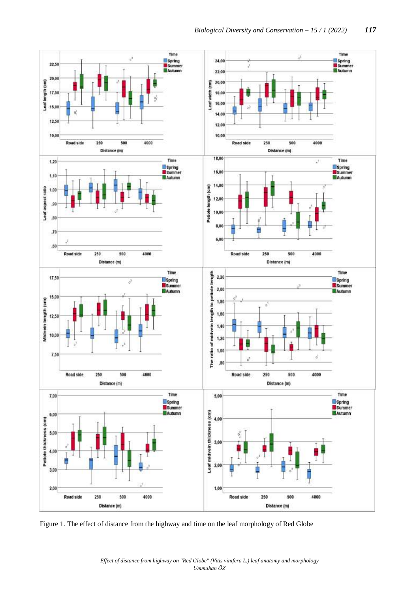

Figure 1. The effect of distance from the highway and time on the leaf morphology of Red Globe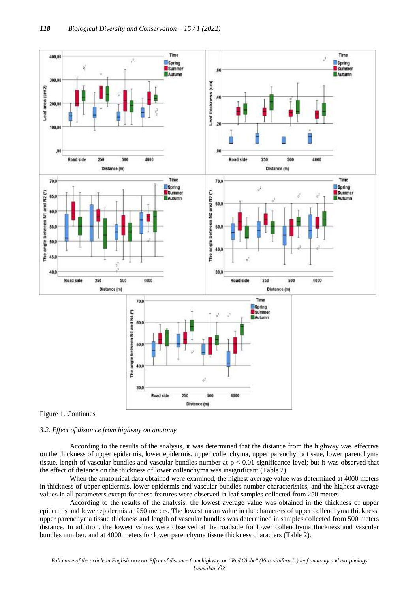

# Figure 1. Continues

#### *3.2. Effect of distance from highway on anatomy*

According to the results of the analysis, it was determined that the distance from the highway was effective on the thickness of upper epidermis, lower epidermis, upper collenchyma, upper parenchyma tissue, lower parenchyma tissue, length of vascular bundles and vascular bundles number at p < 0.01 significance level; but it was observed that the effect of distance on the thickness of lower collenchyma was insignificant (Table 2).

When the anatomical data obtained were examined, the highest average value was determined at 4000 meters in thickness of upper epidermis, lower epidermis and vascular bundles number characteristics, and the highest average values in all parameters except for these features were observed in leaf samples collected from 250 meters.

According to the results of the analysis, the lowest average value was obtained in the thickness of upper epidermis and lower epidermis at 250 meters. The lowest mean value in the characters of upper collenchyma thickness, upper parenchyma tissue thickness and length of vascular bundles was determined in samples collected from 500 meters distance. In addition, the lowest values were observed at the roadside for lower collenchyma thickness and vascular bundles number, and at 4000 meters for lower parenchyma tissue thickness characters (Table 2).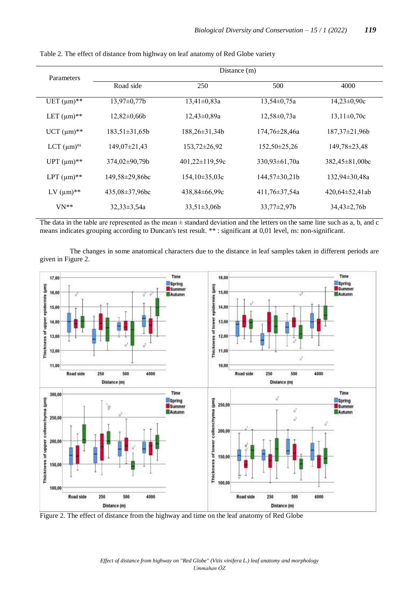| Parameters         | Distance (m)        |                      |                     |                       |  |
|--------------------|---------------------|----------------------|---------------------|-----------------------|--|
|                    | Road side           | 250                  | 500                 | 4000                  |  |
| UET $(\mu m)^{**}$ | $13,97 \pm 0,77b$   | $13,41\pm0,83a$      | $13,54 \pm 0,75a$   | $14,23\pm0,90c$       |  |
| LET $(\mu m)^{**}$ | $12.82 \pm 0.66$    | $12,43\pm0,89a$      | $12,58 \pm 0,73a$   | $13,11\pm0,70c$       |  |
| $UCT$ (µm)**       | $183,51 \pm 31,65b$ | $188,26\pm31,34b$    | $174,76 \pm 28,46a$ | $187,37\pm21,96b$     |  |
| LCT $(\mu m)^{ns}$ | $149,07\pm21,43$    | $153,72\pm26,92$     | $152,50\pm 25,26$   | 149,78±23,48          |  |
| UPT $(\mu m)^{**}$ | $374,02\pm90,79b$   | $401,22 \pm 119,59c$ | $330,93 \pm 61,70a$ | $382,45 \pm 81,00$ bc |  |
| LPT $(\mu m)^{**}$ | 149,58±29,86bc      | $154,10\pm35,03c$    | $144,57\pm30,21b$   | 132,94±30,48a         |  |
| LV $(\mu m)^{**}$  | $435,08\pm37,96bc$  | $438,84\pm 66,99c$   | $411,76 \pm 37,54a$ | $420,64 \pm 52,41$ ab |  |
| $VN**$             | $32.33 \pm 3.54a$   | $33,51\pm3,06b$      | $33,77 \pm 2,97$    | $34,43\pm2,76b$       |  |

Table 2. The effect of distance from highway on leaf anatomy of Red Globe variety

The data in the table are represented as the mean  $\pm$  standard deviation and the letters on the same line such as a, b, and c means indicates grouping according to Duncan's test result. \*\* : significant at 0,01 level, ns: non-significant.

The changes in some anatomical characters due to the distance in leaf samples taken in different periods are given in Figure 2.



Figure 2. The effect of distance from the highway and time on the leaf anatomy of Red Globe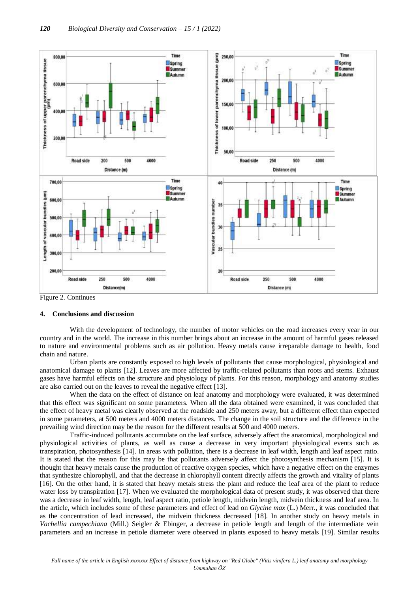

Figure 2. Continues

#### **4. Conclusions and discussion**

With the development of technology, the number of motor vehicles on the road increases every year in our country and in the world. The increase in this number brings about an increase in the amount of harmful gases released to nature and environmental problems such as air pollution. Heavy metals cause irreparable damage to health, food chain and nature.

Urban plants are constantly exposed to high levels of pollutants that cause morphological, physiological and anatomical damage to plants [12]. Leaves are more affected by traffic-related pollutants than roots and stems. Exhaust gases have harmful effects on the structure and physiology of plants. For this reason, morphology and anatomy studies are also carried out on the leaves to reveal the negative effect [13].

When the data on the effect of distance on leaf anatomy and morphology were evaluated, it was determined that this effect was significant on some parameters. When all the data obtained were examined, it was concluded that the effect of heavy metal was clearly observed at the roadside and 250 meters away, but a different effect than expected in some parameters, at 500 meters and 4000 meters distances. The change in the soil structure and the difference in the prevailing wind direction may be the reason for the different results at 500 and 4000 meters.

Traffic-induced pollutants accumulate on the leaf surface, adversely affect the anatomical, morphological and physiological activities of plants, as well as cause a decrease in very important physiological events such as transpiration, photosynthesis [14]. In areas with pollution, there is a decrease in leaf width, length and leaf aspect ratio. It is stated that the reason for this may be that pollutants adversely affect the photosynthesis mechanism [15]. It is thought that heavy metals cause the production of reactive oxygen species, which have a negative effect on the enzymes that synthesize chlorophyll, and that the decrease in chlorophyll content directly affects the growth and vitality of plants [16]. On the other hand, it is stated that heavy metals stress the plant and reduce the leaf area of the plant to reduce water loss by transpiration [17]. When we evaluated the morphological data of present study, it was observed that there was a decrease in leaf width, length, leaf aspect ratio, petiole length, midvein length, midvein thickness and leaf area. In the article, which includes some of these parameters and effect of lead on *Glycine max* (L.) Merr., it was concluded that as the concentration of lead increased, the midvein thickness decreased [18]*.* In another study on heavy metals in *Vachellia campechiana* (Mill.) Seigler & Ebinger, a decrease in petiole length and length of the intermediate vein parameters and an increase in petiole diameter were observed in plants exposed to heavy metals [19]. Similar results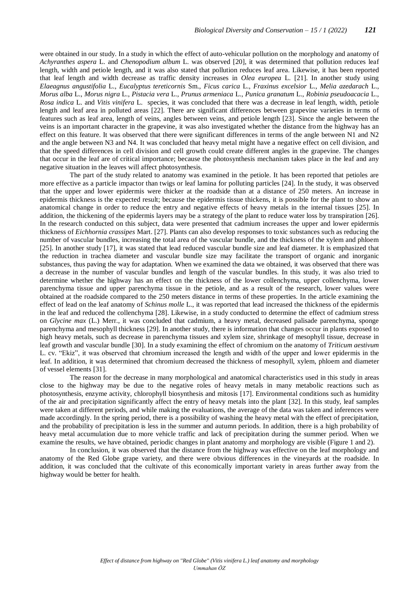were obtained in our study. In a study in which the effect of auto-vehicular pollution on the morphology and anatomy of *Achyranthes aspera* L. and *Chenopodium album* L. was observed [20], it was determined that pollution reduces leaf length, width and petiole length, and it was also stated that pollution reduces leaf area. Likewise, it has been reported that leaf length and width decrease as traffic density increases in *Olea europea* L. [21]. In another study using *Elaeagnus angustifolia* L., *Eucalyptus tereticornis* Sm., *Ficus carica* L., *Fraxinus excelsior* L., *Melia azedarach* L., *Morus alba* L., *Morus nigra* L., *Pistacia vera* L., *Prunus armeniaca* L., *Punica granatum* L., *Robinia pseudoacacia* L., *Rosa indica* L. and *Vitis vinifera* L. species, it was concluded that there was a decrease in leaf length, width, petiole length and leaf area in polluted areas [22]. There are significant differences between grapevine varieties in terms of features such as leaf area, length of veins, angles between veins, and petiole length [23]. Since the angle between the veins is an important character in the grapevine, it was also investigated whether the distance from the highway has an effect on this feature. It was observed that there were significant differences in terms of the angle between N1 and N2 and the angle between N3 and N4. It was concluded that heavy metal might have a negative effect on cell division, and that the speed differences in cell division and cell growth could create different angles in the grapevine. The changes that occur in the leaf are of critical importance; because the photosynthesis mechanism takes place in the leaf and any negative situation in the leaves will affect photosynthesis.

The part of the study related to anatomy was examined in the petiole. It has been reported that petioles are more effective as a particle impactor than twigs or leaf lamina for polluting particles [24]. In the study, it was observed that the upper and lower epidermis were thicker at the roadside than at a distance of 250 meters. An increase in epidermis thickness is the expected result; because the epidermis tissue thickens, it is possible for the plant to show an anatomical change in order to reduce the entry and negative effects of heavy metals in the internal tissues [25]. In addition, the thickening of the epidermis layers may be a strategy of the plant to reduce water loss by transpiration [26]. In the research conducted on this subject, data were presented that cadmium increases the upper and lower epidermis thickness of *Eichhornia crassipes* Mart. [27]. Plants can also develop responses to toxic substances such as reducing the number of vascular bundles, increasing the total area of the vascular bundle, and the thickness of the xylem and phloem [25]. In another study [17], it was stated that lead reduced vascular bundle size and leaf diameter. It is emphasized that the reduction in trachea diameter and vascular bundle size may facilitate the transport of organic and inorganic substances, thus paving the way for adaptation. When we examined the data we obtained, it was observed that there was a decrease in the number of vascular bundles and length of the vascular bundles. In this study, it was also tried to determine whether the highway has an effect on the thickness of the lower collenchyma, upper collenchyma, lower parenchyma tissue and upper parenchyma tissue in the petiole, and as a result of the research, lower values were obtained at the roadside compared to the 250 meters distance in terms of these properties. In the article examining the effect of lead on the leaf anatomy of *Schinus molle* L., it was reported that lead increased the thickness of the epidermis in the leaf and reduced the collenchyma [28]. Likewise, in a study conducted to determine the effect of cadmium stress on *Glycine max* (L.) Merr., it was concluded that cadmium, a heavy metal, decreased palisade parenchyma, sponge parenchyma and mesophyll thickness [29]. In another study, there is information that changes occur in plants exposed to high heavy metals, such as decrease in parenchyma tissues and xylem size, shrinkage of mesophyll tissue, decrease in leaf growth and vascular bundle [30]. In a study examining the effect of chromium on the anatomy of *Triticum aestivum* L. cv. "Ekiz", it was observed that chromium increased the length and width of the upper and lower epidermis in the leaf. In addition, it was determined that chromium decreased the thickness of mesophyll, xylem, phloem and diameter of vessel elements [31].

The reason for the decrease in many morphological and anatomical characteristics used in this study in areas close to the highway may be due to the negative roles of heavy metals in many metabolic reactions such as photosynthesis, enzyme activity, chlorophyll biosynthesis and mitosis [17]. Environmental conditions such as humidity of the air and precipitation significantly affect the entry of heavy metals into the plant [32]. In this study, leaf samples were taken at different periods, and while making the evaluations, the average of the data was taken and inferences were made accordingly. In the spring period, there is a possibility of washing the heavy metal with the effect of precipitation, and the probability of precipitation is less in the summer and autumn periods. In addition, there is a high probability of heavy metal accumulation due to more vehicle traffic and lack of precipitation during the summer period. When we examine the results, we have obtained, periodic changes in plant anatomy and morphology are visible (Figure 1 and 2).

In conclusion, it was observed that the distance from the highway was effective on the leaf morphology and anatomy of the Red Globe grape variety, and there were obvious differences in the vineyards at the roadside. In addition, it was concluded that the cultivate of this economically important variety in areas further away from the highway would be better for health.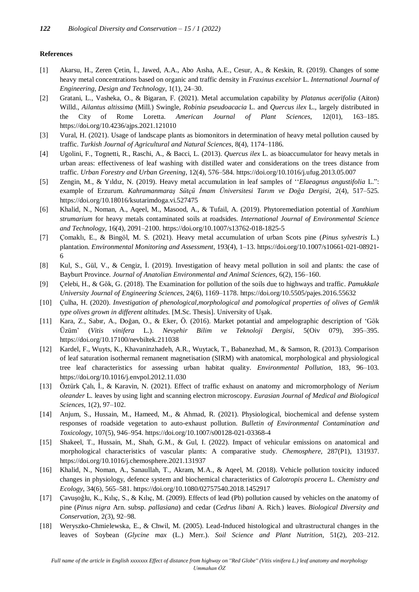#### **References**

- [1] Akarsu, H., Zeren Çetin, İ., Jawed, A.A., Abo Aısha, A.E., Cesur, A., & Keskin, R. (2019). Changes of some heavy metal concentrations based on organic and traffic density in *Fraxinus excelsior* L. *International Journal of Engineering, Design and Technology*, 1(1), 24–30.
- [2] Gratani, L., Vasheka, O., & Bigaran, F. (2021). Metal accumulation capability by *Platanus acerifolia* (Aiton) Willd., *Ailantus altissima* (Mill.) Swingle, *Robinia pseudoacacia* L. and *Quercus ilex* L., largely distributed in the City of Rome Loretta. *American Journal of Plant Sciences*, 12(01), 163–185. <https://doi.org/10.4236/ajps.2021.121010>
- [3] Vural, H. (2021). Usage of landscape plants as biomonitors in determination of heavy metal pollution caused by traffic. *Turkish Journal of Agricultural and Natural Sciences*, 8(4), 1174–1186.
- [4] Ugolini, F., Tognetti, R., Raschi, A., & Bacci, L. (2013). *Quercus ilex* L. as bioaccumulator for heavy metals in urban areas: effectiveness of leaf washing with distilled water and considerations on the trees distance from traffic. *Urban Forestry and Urban Greening*, 12(4), 576–584[. https://doi.org/10.1016/j.ufug.2013.05.007](https://doi.org/10.1016/j.ufug.2013.05.007)
- [5] Zengin, M., & Yıldız, N. (2019). Heavy metal accumulation in leaf samples of ''*Elaeagnus angustifolia* L.": example of Erzurum. *Kahramanmaraş Sütçü İmam Üniversitesi Tarım ve Doğa Dergisi*, 2(4), 517–525. <https://doi.org/10.18016/ksutarimdoga.vi.527475>
- [6] Khalid, N., Noman, A., Aqeel, M., Masood, A., & Tufail, A. (2019). Phytoremediation potential of *Xanthium strumarium* for heavy metals contaminated soils at roadsides. *International Journal of Environmental Science and Technology*, 16(4), 2091–2100.<https://doi.org/10.1007/s13762-018-1825-5>
- [7] Çomaklı, E., & Bingöl, M. S. (2021). Heavy metal accumulation of urban Scots pine (*Pinus sylvestris* L.) plantation. *Environmental Monitoring and Assessment*, 193(4), 1–13. [https://doi.org/10.1007/s10661-021-08921-](https://doi.org/10.1007/s10661-021-08921-6) [6](https://doi.org/10.1007/s10661-021-08921-6)
- [8] Kul, S., Gül, V., & Cengiz, İ. (2019). Investigation of heavy metal pollution in soil and plants: the case of Bayburt Province. *Journal of Anatolian Environmental and Animal Sciences*, 6(2), 156–160.
- [9] Çelebi, H., & Gök, G. (2018). The Examination for pollution of the soils due to highways and traffic. *Pamukkale University Journal of Engineering Sciences*, 24(6), 1169–1178.<https://doi.org/10.5505/pajes.2016.55632>
- [10] Çulha, H. (2020). *Investigation of phenological,morphological and pomological properties of olives of Gemlik type olives grown in different altitudes.* [M.Sc. Thesis]. University of Uşak.
- [11] Kara, Z., Sabır, A., Doğan, O., & Eker, Ö. (2016). Market potantial and ampelographic description of 'Gök Üzüm' (*Vitis vinifera* L.). *Nevşehir Bilim ve Teknoloji Dergisi*, 5(Oiv 079), 395–395. <https://doi.org/10.17100/nevbiltek.211038>
- [12] Kardel, F., Wuyts, K., Khavaninzhadeh, A.R., Wuytack, T., Babanezhad, M., & Samson, R. (2013). Comparison of leaf saturation isothermal remanent magnetisation (SIRM) with anatomical, morphological and physiological tree leaf characteristics for assessing urban habitat quality. *Environmental Pollution*, 183, 96–103. <https://doi.org/10.1016/j.envpol.2012.11.030>
- [13] Öztürk Çalı, İ., & Karavin, N. (2021). Effect of traffic exhaust on anatomy and micromorphology of *Nerium oleander* L. leaves by using light and scanning electron microscopy. *Eurasian Journal of Medical and Biological Sciences*, 1(2), 97–102.
- [14] Anjum, S., Hussain, M., Hameed, M., & Ahmad, R. (2021). Physiological, biochemical and defense system responses of roadside vegetation to auto-exhaust pollution. *Bulletin of Environmental Contamination and Toxicology*, 107(5), 946–954.<https://doi.org/10.1007/s00128-021-03368-4>
- [15] Shakeel, T., Hussain, M., Shah, G.M., & Gul, I. (2022). Impact of vehicular emissions on anatomical and morphological characteristics of vascular plants: A comparative study. *Chemosphere*, 287(P1), 131937. <https://doi.org/10.1016/j.chemosphere.2021.131937>
- [16] Khalid, N., Noman, A., Sanaullah, T., Akram, M.A., & Aqeel, M. (2018). Vehicle pollution toxicity induced changes in physiology, defence system and biochemical characteristics of *Calotropis procera* L. *Chemistry and Ecology*, 34(6), 565–581[. https://doi.org/10.1080/02757540.2018.1452917](https://doi.org/10.1080/02757540.2018.1452917)
- [17] Çavuşoğlu, K., Kılıç, S., & Kılıç, M. (2009). Effects of lead (Pb) pollution caused by vehicles on the anatomy of pine (*Pinus nigra* Arn. subsp. *pallasiana*) and cedar (*Cedrus libani* A. Rich.) leaves. *Biological Diversity and Conservation*, 2(3), 92–98.
- [18] Weryszko-Chmielewska, E., & Chwil, M. (2005). Lead-Induced histological and ultrastructural changes in the leaves of Soybean (*Glycine max* (L.) Merr.). *Soil Science and Plant Nutrition*, 51(2), 203–212.